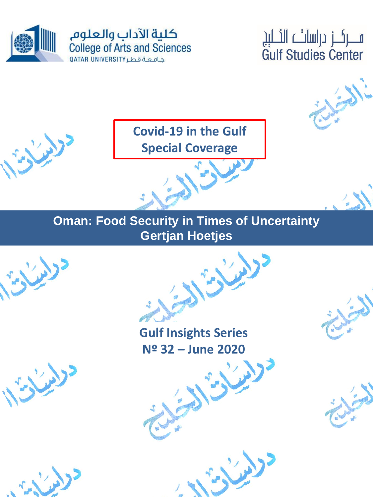

ســـركــز دراسات النـــلېږ **Gulf Studies Center** 



**Covid-19 in the Gulf Special Coverage**

**Oman: Food Security in Times of Uncertainty Gertjan Hoetjes**



**Gulf Insights Series Nº 32 – June 2020**

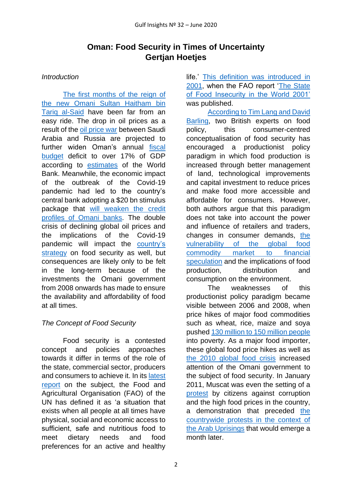# **Oman: Food Security in Times of Uncertainty Gertjan Hoetjes**

#### *Introduction*

The first months of the reign of [the new Omani Sultan Haitham bin](https://www.theguardian.com/world/2020/jan/11/sultan-of-oman-dies-state-media-announces)  [Tariq al-Said](https://www.theguardian.com/world/2020/jan/11/sultan-of-oman-dies-state-media-announces) have been far from an easy ride. The drop in oil prices as a result of the [oil price war](https://www.mei.edu/publications/can-saudi-arabia-win-oil-price-war) between Saudi Arabia and Russia are projected to further widen Oman's annual [fiscal](https://www.reuters.com/article/oman-economy-budget-idUSL8N2BA0SV)  [budget](https://www.reuters.com/article/oman-economy-budget-idUSL8N2BA0SV) deficit to over 17% of GDP according to [estimates](http://pubdocs.worldbank.org/en/124071554825491319/mpo-omn.pdf) of the World Bank. Meanwhile, the economic impact of the outbreak of the Covid-19 pandemic had led to the country's central bank adopting a \$20 bn stimulus package that [will weaken the credit](https://www.reuters.com/article/health-coronavirus-oman-banks-idUSL8N2BG6U6)  [profiles of Omani banks.](https://www.reuters.com/article/health-coronavirus-oman-banks-idUSL8N2BG6U6) The double crisis of declining global oil prices and the implications of the Covid-19 pandemic will impact the [country's](https://oxfordbusinessgroup.com/overview/cultivating-sustainability-initiatives-look-increase-food-security-boosting-domestic-produce-and)  [strategy](https://oxfordbusinessgroup.com/overview/cultivating-sustainability-initiatives-look-increase-food-security-boosting-domestic-produce-and) on food security as well, but consequences are likely only to be felt in the long-term because of the investments the Omani government from 2008 onwards has made to ensure the availability and affordability of food at all times.

## *The Concept of Food Security*

Food security is a contested concept and policies approaches towards it differ in terms of the role of the state, commercial sector, producers and consumers to achieve it. In its [latest](http://www.fao.org/3/ca5162en/ca5162en.pdf)  [report](http://www.fao.org/3/ca5162en/ca5162en.pdf) on the subject, the Food and Agricultural Organisation (FAO) of the UN has defined it as 'a situation that exists when all people at all times have physical, social and economic access to sufficient, safe and nutritious food to meet dietary needs and food preferences for an active and healthy

life.' [This definition was introduced in](http://www.fao.org/3/y4671e/y4671e06.htm#fn31)  [2001,](http://www.fao.org/3/y4671e/y4671e06.htm#fn31) when the FAO report ['The State](http://www.fao.org/3/y1500e/y1500e00.htm)  [of Food Insecurity in the World 2001'](http://www.fao.org/3/y1500e/y1500e00.htm) was published.

[According to Tim Lang and David](https://rgs-ibg.onlinelibrary.wiley.com/doi/full/10.1111/j.1475-4959.2012.00480.x)  [Barling,](https://rgs-ibg.onlinelibrary.wiley.com/doi/full/10.1111/j.1475-4959.2012.00480.x) two British experts on food policy, this consumer-centred conceptualisation of food security has encouraged a productionist policy paradigm in which food production is increased through better management of land, technological improvements and capital investment to reduce prices and make food more accessible and affordable for consumers. However, both authors argue that this paradigm does not take into account the power and influence of retailers and traders, changes in consumer demands, [the](https://onlinelibrary.wiley.com/doi/abs/10.1111/j.1471-0366.2009.00249.x)  [vulnerability of the global food](https://onlinelibrary.wiley.com/doi/abs/10.1111/j.1471-0366.2009.00249.x)  [commodity market to financial](https://onlinelibrary.wiley.com/doi/abs/10.1111/j.1471-0366.2009.00249.x)  [speculation](https://onlinelibrary.wiley.com/doi/abs/10.1111/j.1471-0366.2009.00249.x) and the implications of food production, distribution and consumption on the environment.

The weaknesses of this productionist policy paradigm became visible between 2006 and 2008, when price hikes of major food commodities such as wheat, rice, maize and soya pushed [130 million to 150 million people](https://www.un.org/esa/socdev/rwss/docs/2011/chapter4.pdf) into poverty. As a major food importer, these global food price hikes as well as [the 2010 global food crisis](https://www.scientificamerican.com/article/climate-change-and-rising-food-prices-heightened-arab-spring/) increased attention of the Omani government to the subject of food security. In January 2011, Muscat was even the setting of a [protest](http://www.arabianbusiness.com/oman-protestors-call-for-fight-against-corruption--374524.html) by citizens against corruption and the high food prices in the country, a demonstration that preceded [the](https://mepc.org/oman-forgotten-corner-arab-spring) [countrywide protests in the context of](https://mepc.org/oman-forgotten-corner-arab-spring)  the [Arab Uprisings](https://mepc.org/oman-forgotten-corner-arab-spring) that would emerge a month later.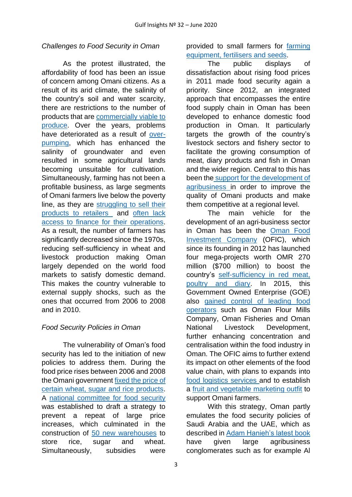#### *Challenges to Food Security in Oman*

As the protest illustrated, the affordability of food has been an issue of concern among Omani citizens. As a result of its arid climate, the salinity of the country's soil and water scarcity, there are restrictions to the number of products that are [commercially viable](https://oxfordbusinessgroup.com/overview/growing-green-strategic-investments-promising-sector-boost-self-sufficiency-and-exports) to produce. Over the years, problems have deteriorated as a result of [over](https://cph.world/2017/03/13/environmentally-friendly-desalination-techniques-for-omani-farmers-small-scale-plants/)[pumping,](https://cph.world/2017/03/13/environmentally-friendly-desalination-techniques-for-omani-farmers-small-scale-plants/) which has enhanced the salinity of groundwater and even resulted in some agricultural lands becoming unsuitable for cultivation. Simultaneously, farming has not been a profitable business, as large segments of Omani farmers live below the poverty line, as they are [struggling to sell their](https://www.thenational.ae/world/mena/omani-farmers-struggle-to-sell-not-grow-their-produce-1.581883)  [products to retailers](https://www.thenational.ae/world/mena/omani-farmers-struggle-to-sell-not-grow-their-produce-1.581883) and [often lack](https://www.omanobserver.om/omani-farmers-need-urgent-lifeline/)  [access to finance for their operations.](https://www.omanobserver.om/omani-farmers-need-urgent-lifeline/) As a result, the number of farmers has significantly decreased since the 1970s, reducing self-sufficiency in wheat and livestock production making Oman largely depended on the world food markets to satisfy domestic demand. This makes the country vulnerable to external supply shocks, such as the ones that occurred from 2006 to 2008 and in 2010.

## *Food Security Policies in Oman*

The vulnerability of Oman's food security has led to the initiation of new policies to address them. During the food price rises between 2006 and 2008 the Omani government [fixed the price of](http://downloads.hindawi.com/archive/2014/581638.pdf)  [certain wheat, sugar and rice](http://downloads.hindawi.com/archive/2014/581638.pdf) products. A [national committee for food security](http://www.futuredirections.org.au/publication/the-sultanate-of-oman-food-and-water-security-to-2025/,) was established to draft a strategy to prevent a repeat of large price increases, which culminated in the construction of [50 new warehouses](http://country.eiu.com/article.aspx?articleid=1597510944) to store rice, sugar and wheat. Simultaneously, subsidies were

provided to small farmers for [farming](https://www.thenational.ae/world/mena/omani-farmers-struggle-to-sell-not-grow-their-produce-1.581883)  [equipment, fertilisers and seeds.](https://www.thenational.ae/world/mena/omani-farmers-struggle-to-sell-not-grow-their-produce-1.581883)

The public displays of dissatisfaction about rising food prices in 2011 made food security again a priority. Since 2012, an integrated approach that encompasses the entire food supply chain in Oman has been developed to enhance domestic food production in Oman. It particularly targets the growth of the country's livestock sectors and fishery sector to facilitate the growing consumption of meat, diary products and fish in Oman and the wider region. Central to this has been the support for the development of [agribusiness i](http://extwprlegs1.fao.org/docs/pdf/oma174263.pdf)n order to improve the quality of Omani products and make them competitive at a regional level.

The main vehicle for the development of an agri-business sector in Oman has been the [Oman Food](https://omanfood.om/)  [Investment Company](https://omanfood.om/) (OFIC), which since its founding in 2012 has launched four mega-projects worth OMR 270 million (\$700 million) to boost the country's [self-sufficiency in](https://timesofoman.com/article/103505/Business/Retail/Food-consumption-in-Oman-to-grow-at-45-per-cent-to-39m-tonnes-in-2021) red meat, [poultry and diary.](https://timesofoman.com/article/103505/Business/Retail/Food-consumption-in-Oman-to-grow-at-45-per-cent-to-39m-tonnes-in-2021) In 2015, this Government Owned Enterprise (GOE) also [gained control of leading food](https://oxfordbusinessgroup.com/overview/under-surface-maintaining-high-level-food-self-sufficiency-supported-investment-agri-business)  [operators](https://oxfordbusinessgroup.com/overview/under-surface-maintaining-high-level-food-self-sufficiency-supported-investment-agri-business) such as Oman Flour Mills Company, Oman Fisheries and Oman National Livestock Development, further enhancing concentration and centralisation within the food industry in Oman. The OFIC aims to further extend its impact on other elements of the food value chain, with plans to expands into [food logistics services a](https://www.omanobserver.om/major-food-logistics-project-on-anvil-in-oman/)nd to establish a [fruit and vegetable marketing outfit](https://www.omanobserver.om/oman-food-unveils-ambitious-marketing-logistics-strategies/) to support Omani farmers.

With this strategy, Oman partly emulates the food security policies of Saudi Arabia and the UAE, which as described in [Adam Hanieh's latest](https://www.cambridge.org/core/books/money-markets-and-monarchies/BC04CB4102C5394A8C1F3EADEFD6E988) book have given large agribusiness conglomerates such as for example Al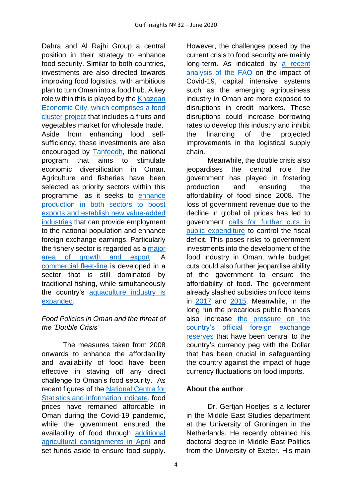Dahra and Al Rajhi Group a central position in their strategy to enhance food security. Similar to both countries, investments are also directed towards improving food logistics, with ambitious plan to turn Oman into a food hub. A key role within this is played by the [Khazean](https://timesofoman.com/article/3014083/oman/khazaen-expected-to-boost-direct-imports-food-security-in-oman)  [Economic City, which comprises a food](https://timesofoman.com/article/3014083/oman/khazaen-expected-to-boost-direct-imports-food-security-in-oman)  [cluster project](https://timesofoman.com/article/3014083/oman/khazaen-expected-to-boost-direct-imports-food-security-in-oman) that includes a fruits and vegetables market for wholesale trade.

Aside from enhancing food selfsufficiency, these investments are also encouraged by [Tanfeedh,](https://www.scp.gov.om/PDF/TANFEEDH%20HAND%20BOOK%202017English.pdf) the national program that aims to stimulate economic diversification in Oman. Agriculture and fisheries have been selected as priority sectors within this programme, as it seeks to [enhance](https://oxfordbusinessgroup.com/overview/under-surface-maintaining-high-level-food-self-sufficiency-supported-investment-agri-business) [production in both sectors to boost](https://oxfordbusinessgroup.com/overview/under-surface-maintaining-high-level-food-self-sufficiency-supported-investment-agri-business)  exports and establish new [value-added](https://oxfordbusinessgroup.com/overview/under-surface-maintaining-high-level-food-self-sufficiency-supported-investment-agri-business)  [industries](https://oxfordbusinessgroup.com/overview/under-surface-maintaining-high-level-food-self-sufficiency-supported-investment-agri-business) that can provide employment to the national population and enhance foreign exchange earnings. Particularly the fishery sector is regarded as a [major](http://www.fao.org/fishery/facp/OMN/en)  [area of growth](http://www.fao.org/fishery/facp/OMN/en) and export. A [commercial fleet-](https://timesofoman.com/article/1676410/Oman/17-farm-fisheries-projects-to-boost-Omans-food-security%3e)line is developed in a sector that is still dominated by traditional fishing, while simultaneously the country's [aquaculture industry is](https://timesofoman.com/article/1676410/Oman/17-farm-fisheries-projects-to-boost-Omans-food-security%3e)  [expanded.](https://timesofoman.com/article/1676410/Oman/17-farm-fisheries-projects-to-boost-Omans-food-security%3e)

## *Food Policies in Oman and the threat of the 'Double Crisis'*

The measures taken from 2008 onwards to enhance the affordability and availability of food have been effective in staving off any direct challenge to Oman's food security. As recent figures of the [National Centre for](https://www.ncsi.gov.om/Elibrary/LibraryContentDoc/bar_MBS_22_May20_bca2127f-80f6-4258-aa0f-a6e0de395941.pdf)  [Statistics and Information indicate,](https://www.ncsi.gov.om/Elibrary/LibraryContentDoc/bar_MBS_22_May20_bca2127f-80f6-4258-aa0f-a6e0de395941.pdf) food prices have remained affordable in Oman during the Covid-19 pandemic, while the government ensured the availability of food through [additional](https://timesofoman.com/article/3013800/oman/government/oman-imports-over-150-agricultural-consignments)  [agricultural consignments in April](https://timesofoman.com/article/3013800/oman/government/oman-imports-over-150-agricultural-consignments) and set funds aside to ensure food supply.

However, the challenges posed by the current crisis to food security are mainly long-term. As indicated by a [recent](http://www.fao.org/3/ca8430en/CA8430EN.pdf) [analysis of the FAO](http://www.fao.org/3/ca8430en/CA8430EN.pdf) on the impact of Covid-19, capital intensive systems such as the emerging agribusiness industry in Oman are more exposed to disruptions in credit markets. These disruptions could increase borrowing rates to develop this industry and inhibit the financing of the projected improvements in the logistical supply chain.

Meanwhile, the double crisis also jeopardises the central role the government has played in fostering production and ensuring the affordability of food since 2008. The loss of government revenue due to the decline in global oil prices has led to government [calls for further cuts in](https://www.arabnews.com/node/1644196/middle-east)  [public expenditure](https://www.arabnews.com/node/1644196/middle-east) to control the fiscal deficit. This poses risks to government investments into the development of the food industry in Oman, while budget cuts could also further jeopardise ability of the government to ensure the affordability of food. The government already slashed subsidies on food items in [2017](https://timesofoman.com/article/117984/oman/oman-government-slashes-spending-on-subsidies-by-more-than-half-a-billion-rials%3e) and [2015.](ttps://gulfnews.com/world/gulf/oman/oman-cuts-subsidy-spending-by-48-in-2015-1.1540377) Meanwhile, in the long run the precarious public finances also increase [the pressure on the](https://www.arabianbusiness.com/politics-economics/444517-fitch-joins-chorus-of-alarm-over-omans-deficit-funding-risks)  [country's official foreign exchange](https://www.arabianbusiness.com/politics-economics/444517-fitch-joins-chorus-of-alarm-over-omans-deficit-funding-risks)  [reserves](https://www.arabianbusiness.com/politics-economics/444517-fitch-joins-chorus-of-alarm-over-omans-deficit-funding-risks) that have been central to the country's currency peg with the Dollar that has been crucial in safeguarding the country against the impact of huge currency fluctuations on food imports.

## **About the author**

Dr. Gertian Hoeties is a lecturer in the Middle East Studies department at the University of Groningen in the Netherlands. He recently obtained his doctoral degree in Middle East Politics from the University of Exeter. His main